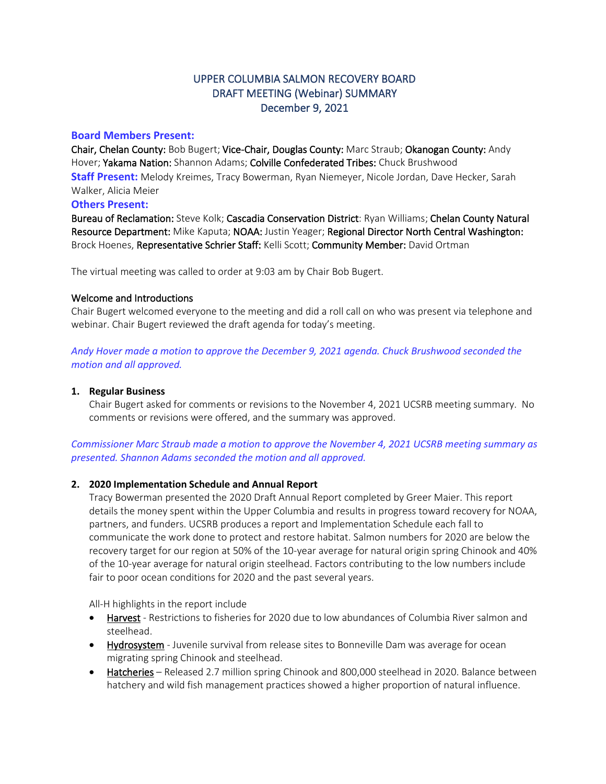# UPPER COLUMBIA SALMON RECOVERY BOARD DRAFT MEETING (Webinar) SUMMARY December 9, 2021

## **Board Members Present:**

Chair, Chelan County: Bob Bugert; Vice-Chair, Douglas County: Marc Straub; Okanogan County: Andy Hover; Yakama Nation: Shannon Adams; Colville Confederated Tribes: Chuck Brushwood **Staff Present:** Melody Kreimes, Tracy Bowerman, Ryan Niemeyer, Nicole Jordan, Dave Hecker, Sarah Walker, Alicia Meier

# **Others Present:**

Bureau of Reclamation: Steve Kolk; Cascadia Conservation District: Ryan Williams; Chelan County Natural Resource Department: Mike Kaputa; NOAA: Justin Yeager; Regional Director North Central Washington: Brock Hoenes, Representative Schrier Staff: Kelli Scott; Community Member: David Ortman

The virtual meeting was called to order at 9:03 am by Chair Bob Bugert.

## Welcome and Introductions

Chair Bugert welcomed everyone to the meeting and did a roll call on who was present via telephone and webinar. Chair Bugert reviewed the draft agenda for today's meeting.

*Andy Hover made a motion to approve the December 9, 2021 agenda. Chuck Brushwood seconded the motion and all approved.*

#### **1. Regular Business**

Chair Bugert asked for comments or revisions to the November 4, 2021 UCSRB meeting summary. No comments or revisions were offered, and the summary was approved.

# *Commissioner Marc Straub made a motion to approve the November 4, 2021 UCSRB meeting summary as presented. Shannon Adams seconded the motion and all approved.*

## **2. 2020 Implementation Schedule and Annual Report**

Tracy Bowerman presented the 2020 Draft Annual Report completed by Greer Maier. This report details the money spent within the Upper Columbia and results in progress toward recovery for NOAA, partners, and funders. UCSRB produces a report and Implementation Schedule each fall to communicate the work done to protect and restore habitat. Salmon numbers for 2020 are below the recovery target for our region at 50% of the 10-year average for natural origin spring Chinook and 40% of the 10-year average for natural origin steelhead. Factors contributing to the low numbers include fair to poor ocean conditions for 2020 and the past several years.

All-H highlights in the report include

- Harvest Restrictions to fisheries for 2020 due to low abundances of Columbia River salmon and steelhead.
- Hydrosystem Juvenile survival from release sites to Bonneville Dam was average for ocean migrating spring Chinook and steelhead.
- Hatcheries Released 2.7 million spring Chinook and 800,000 steelhead in 2020. Balance between hatchery and wild fish management practices showed a higher proportion of natural influence.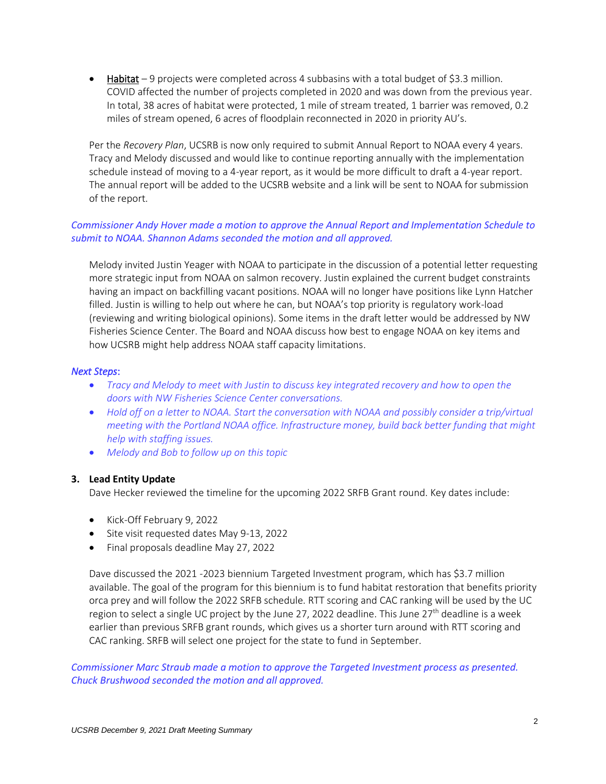• Habitat – 9 projects were completed across 4 subbasins with a total budget of \$3.3 million. COVID affected the number of projects completed in 2020 and was down from the previous year. In total, 38 acres of habitat were protected, 1 mile of stream treated, 1 barrier was removed, 0.2 miles of stream opened, 6 acres of floodplain reconnected in 2020 in priority AU's.

Per the *Recovery Plan*, UCSRB is now only required to submit Annual Report to NOAA every 4 years. Tracy and Melody discussed and would like to continue reporting annually with the implementation schedule instead of moving to a 4-year report, as it would be more difficult to draft a 4-year report. The annual report will be added to the UCSRB website and a link will be sent to NOAA for submission of the report.

# *Commissioner Andy Hover made a motion to approve the Annual Report and Implementation Schedule to submit to NOAA. Shannon Adams seconded the motion and all approved.*

Melody invited Justin Yeager with NOAA to participate in the discussion of a potential letter requesting more strategic input from NOAA on salmon recovery. Justin explained the current budget constraints having an impact on backfilling vacant positions. NOAA will no longer have positions like Lynn Hatcher filled. Justin is willing to help out where he can, but NOAA's top priority is regulatory work-load (reviewing and writing biological opinions). Some items in the draft letter would be addressed by NW Fisheries Science Center. The Board and NOAA discuss how best to engage NOAA on key items and how UCSRB might help address NOAA staff capacity limitations.

## *Next Steps*:

- *Tracy and Melody to meet with Justin to discuss key integrated recovery and how to open the doors with NW Fisheries Science Center conversations.*
- *Hold off on a letter to NOAA. Start the conversation with NOAA and possibly consider a trip/virtual meeting with the Portland NOAA office. Infrastructure money, build back better funding that might help with staffing issues.*
- *Melody and Bob to follow up on this topic*

## **3. Lead Entity Update**

Dave Hecker reviewed the timeline for the upcoming 2022 SRFB Grant round. Key dates include:

- Kick-Off February 9, 2022
- Site visit requested dates May 9-13, 2022
- Final proposals deadline May 27, 2022

Dave discussed the 2021 -2023 biennium Targeted Investment program, which has \$3.7 million available. The goal of the program for this biennium is to fund habitat restoration that benefits priority orca prey and will follow the 2022 SRFB schedule. RTT scoring and CAC ranking will be used by the UC region to select a single UC project by the June 27, 2022 deadline. This June 27<sup>th</sup> deadline is a week earlier than previous SRFB grant rounds, which gives us a shorter turn around with RTT scoring and CAC ranking. SRFB will select one project for the state to fund in September.

*Commissioner Marc Straub made a motion to approve the Targeted Investment process as presented. Chuck Brushwood seconded the motion and all approved.*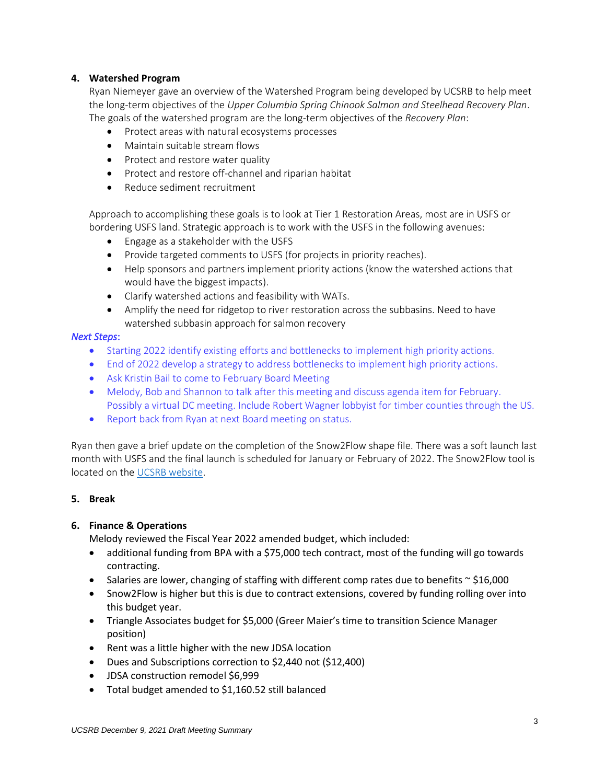## **4. Watershed Program**

Ryan Niemeyer gave an overview of the Watershed Program being developed by UCSRB to help meet the long-term objectives of the *Upper Columbia Spring Chinook Salmon and Steelhead Recovery Plan*. The goals of the watershed program are the long-term objectives of the *Recovery Plan*:

- Protect areas with natural ecosystems processes
- Maintain suitable stream flows
- Protect and restore water quality
- Protect and restore off-channel and riparian habitat
- Reduce sediment recruitment

Approach to accomplishing these goals is to look at Tier 1 Restoration Areas, most are in USFS or bordering USFS land. Strategic approach is to work with the USFS in the following avenues:

- Engage as a stakeholder with the USFS
- Provide targeted comments to USFS (for projects in priority reaches).
- Help sponsors and partners implement priority actions (know the watershed actions that would have the biggest impacts).
- Clarify watershed actions and feasibility with WATs.
- Amplify the need for ridgetop to river restoration across the subbasins. Need to have watershed subbasin approach for salmon recovery

## *Next Steps*:

- Starting 2022 identify existing efforts and bottlenecks to implement high priority actions*.*
- End of 2022 develop a strategy to address bottlenecks to implement high priority actions.
- Ask Kristin Bail to come to February Board Meeting
- Melody, Bob and Shannon to talk after this meeting and discuss agenda item for February. Possibly a virtual DC meeting. Include Robert Wagner lobbyist for timber counties through the US.
- Report back from Ryan at next Board meeting on status.

Ryan then gave a brief update on the completion of the Snow2Flow shape file. There was a soft launch last month with USFS and the final launch is scheduled for January or February of 2022. The Snow2Flow tool is located on th[e UCSRB website.](https://s2f.ucsrb.org/)

## **5. Break**

## **6. Finance & Operations**

Melody reviewed the Fiscal Year 2022 amended budget, which included:

- additional funding from BPA with a \$75,000 tech contract, most of the funding will go towards contracting.
- Salaries are lower, changing of staffing with different comp rates due to benefits  $\sim$  \$16,000
- Snow2Flow is higher but this is due to contract extensions, covered by funding rolling over into this budget year.
- Triangle Associates budget for \$5,000 (Greer Maier's time to transition Science Manager position)
- Rent was a little higher with the new JDSA location
- Dues and Subscriptions correction to \$2,440 not (\$12,400)
- JDSA construction remodel \$6,999
- Total budget amended to \$1,160.52 still balanced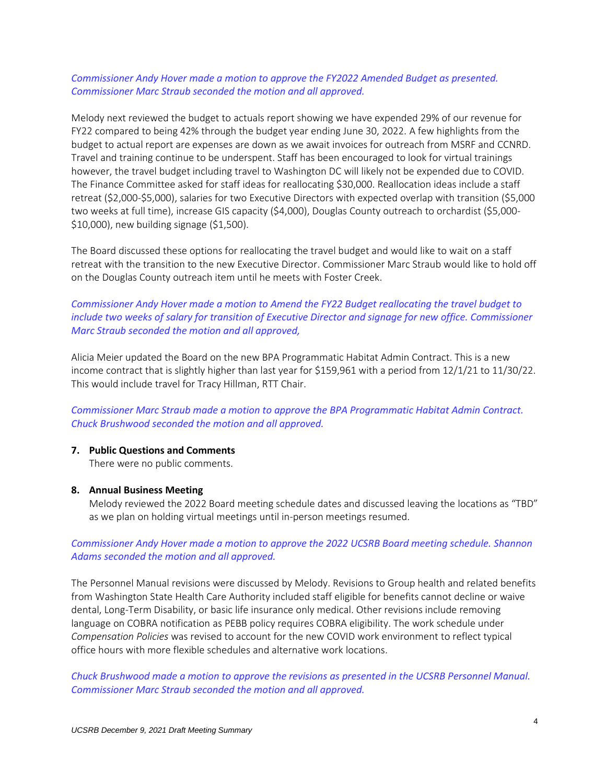## *Commissioner Andy Hover made a motion to approve the FY2022 Amended Budget as presented. Commissioner Marc Straub seconded the motion and all approved.*

Melody next reviewed the budget to actuals report showing we have expended 29% of our revenue for FY22 compared to being 42% through the budget year ending June 30, 2022. A few highlights from the budget to actual report are expenses are down as we await invoices for outreach from MSRF and CCNRD. Travel and training continue to be underspent. Staff has been encouraged to look for virtual trainings however, the travel budget including travel to Washington DC will likely not be expended due to COVID. The Finance Committee asked for staff ideas for reallocating \$30,000. Reallocation ideas include a staff retreat (\$2,000-\$5,000), salaries for two Executive Directors with expected overlap with transition (\$5,000 two weeks at full time), increase GIS capacity (\$4,000), Douglas County outreach to orchardist (\$5,000- \$10,000), new building signage (\$1,500).

The Board discussed these options for reallocating the travel budget and would like to wait on a staff retreat with the transition to the new Executive Director. Commissioner Marc Straub would like to hold off on the Douglas County outreach item until he meets with Foster Creek.

*Commissioner Andy Hover made a motion to Amend the FY22 Budget reallocating the travel budget to include two weeks of salary for transition of Executive Director and signage for new office. Commissioner Marc Straub seconded the motion and all approved,*

Alicia Meier updated the Board on the new BPA Programmatic Habitat Admin Contract. This is a new income contract that is slightly higher than last year for \$159,961 with a period from 12/1/21 to 11/30/22. This would include travel for Tracy Hillman, RTT Chair.

*Commissioner Marc Straub made a motion to approve the BPA Programmatic Habitat Admin Contract. Chuck Brushwood seconded the motion and all approved.* 

#### **7. Public Questions and Comments**

There were no public comments.

#### **8. Annual Business Meeting**

Melody reviewed the 2022 Board meeting schedule dates and discussed leaving the locations as "TBD" as we plan on holding virtual meetings until in-person meetings resumed.

## *Commissioner Andy Hover made a motion to approve the 2022 UCSRB Board meeting schedule. Shannon Adams seconded the motion and all approved.*

The Personnel Manual revisions were discussed by Melody. Revisions to Group health and related benefits from Washington State Health Care Authority included staff eligible for benefits cannot decline or waive dental, Long-Term Disability, or basic life insurance only medical. Other revisions include removing language on COBRA notification as PEBB policy requires COBRA eligibility. The work schedule under *Compensation Policies* was revised to account for the new COVID work environment to reflect typical office hours with more flexible schedules and alternative work locations.

*Chuck Brushwood made a motion to approve the revisions as presented in the UCSRB Personnel Manual. Commissioner Marc Straub seconded the motion and all approved.*